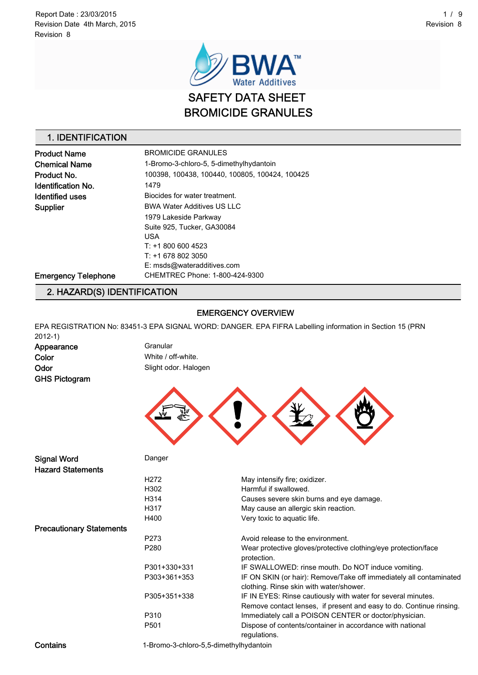

### 1. IDENTIFICATION

| <b>Product Name</b>        | <b>BROMICIDE GRANULES</b>                      |  |
|----------------------------|------------------------------------------------|--|
| Chemical Name              | 1-Bromo-3-chloro-5, 5-dimethylhydantoin        |  |
| Product No.                | 100398, 100438, 100440, 100805, 100424, 100425 |  |
| Identification No.         | 1479                                           |  |
| Identified uses            | Biocides for water treatment.                  |  |
| Supplier                   | <b>BWA Water Additives US LLC</b>              |  |
|                            | 1979 Lakeside Parkway                          |  |
|                            | Suite 925, Tucker, GA30084                     |  |
|                            | <b>USA</b>                                     |  |
|                            | $T: +18006004523$                              |  |
|                            | $T: +16788023050$                              |  |
|                            | E: msds@wateradditives.com                     |  |
| <b>Emergency Telephone</b> | CHEMTREC Phone: 1-800-424-9300                 |  |
|                            |                                                |  |

## 2. HAZARD(S) IDENTIFICATION

#### EMERGENCY OVERVIEW

EPA REGISTRATION No: 83451-3 EPA SIGNAL WORD: DANGER. EPA FIFRA Labelling information in Section 15 (PRN 2012-1)

Appearance Granular Color White / off-white. GHS Pictogram

Odor Slight odor. Halogen



| <b>Signal Word</b>              | Danger                                 |                                                                                                                                     |
|---------------------------------|----------------------------------------|-------------------------------------------------------------------------------------------------------------------------------------|
| <b>Hazard Statements</b>        |                                        |                                                                                                                                     |
|                                 | H <sub>2</sub> 72                      | May intensify fire; oxidizer.                                                                                                       |
|                                 | H302                                   | Harmful if swallowed.                                                                                                               |
|                                 | H314                                   | Causes severe skin burns and eye damage.                                                                                            |
|                                 | H317                                   | May cause an allergic skin reaction.                                                                                                |
|                                 | H400                                   | Very toxic to aquatic life.                                                                                                         |
| <b>Precautionary Statements</b> |                                        |                                                                                                                                     |
|                                 | P273                                   | Avoid release to the environment.                                                                                                   |
|                                 | P <sub>280</sub>                       | Wear protective gloves/protective clothing/eye protection/face<br>protection.                                                       |
|                                 | P301+330+331                           | IF SWALLOWED: rinse mouth. Do NOT induce vomiting.                                                                                  |
|                                 | P303+361+353                           | IF ON SKIN (or hair): Remove/Take off immediately all contaminated<br>clothing. Rinse skin with water/shower.                       |
|                                 | P305+351+338                           | IF IN EYES: Rinse cautiously with water for several minutes.<br>Remove contact lenses, if present and easy to do. Continue rinsing. |
|                                 | P310                                   | Immediately call a POISON CENTER or doctor/physician.                                                                               |
|                                 | P <sub>501</sub>                       | Dispose of contents/container in accordance with national<br>regulations.                                                           |
| Contains                        | 1-Bromo-3-chloro-5,5-dimethylhydantoin |                                                                                                                                     |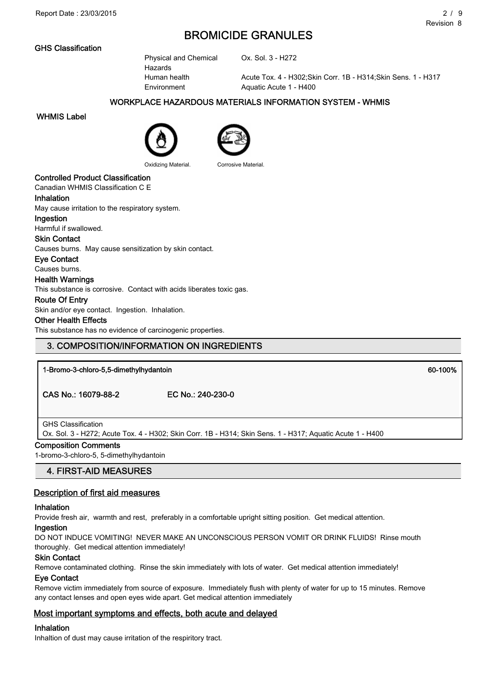### GHS Classification

Physical and Chemical Hazards Environment Aquatic Acute 1 - H400

Ox. Sol. 3 - H272

Human health Acute Tox. 4 - H302;Skin Corr. 1B - H314;Skin Sens. 1 - H317

### WORKPLACE HAZARDOUS MATERIALS INFORMATION SYSTEM - WHMIS

#### WHMIS Label





Oxidizing Material. Corrosive Material.

### Controlled Product Classification

Canadian WHMIS Classification C E

#### Inhalation

May cause irritation to the respiratory system.

#### Ingestion

Harmful if swallowed.

#### Skin Contact

Causes burns. May cause sensitization by skin contact.

#### Eye Contact

Causes burns.

### Health Warnings

This substance is corrosive. Contact with acids liberates toxic gas.

#### Route Of Entry

Skin and/or eye contact. Ingestion. Inhalation.

#### Other Health Effects

This substance has no evidence of carcinogenic properties.

### 3. COMPOSITION/INFORMATION ON INGREDIENTS

1-Bromo-3-chloro-5,5-dimethylhydantoin 60-100%

CAS No.: 16079-88-2 EC No.: 240-230-0

### GHS Classification

Ox. Sol. 3 - H272; Acute Tox. 4 - H302; Skin Corr. 1B - H314; Skin Sens. 1 - H317; Aquatic Acute 1 - H400

### Composition Comments

1-bromo-3-chloro-5, 5-dimethylhydantoin

### 4. FIRST-AID MEASURES

### Description of first aid measures

#### Inhalation

Provide fresh air, warmth and rest, preferably in a comfortable upright sitting position. Get medical attention.

#### Ingestion

DO NOT INDUCE VOMITING! NEVER MAKE AN UNCONSCIOUS PERSON VOMIT OR DRINK FLUIDS! Rinse mouth thoroughly. Get medical attention immediately!

#### Skin Contact

Remove contaminated clothing. Rinse the skin immediately with lots of water. Get medical attention immediately!

#### Eye Contact

Remove victim immediately from source of exposure. Immediately flush with plenty of water for up to 15 minutes. Remove any contact lenses and open eyes wide apart. Get medical attention immediately

### Most important symptoms and effects, both acute and delayed

### Inhalation

Inhaltion of dust may cause irritation of the respiritory tract.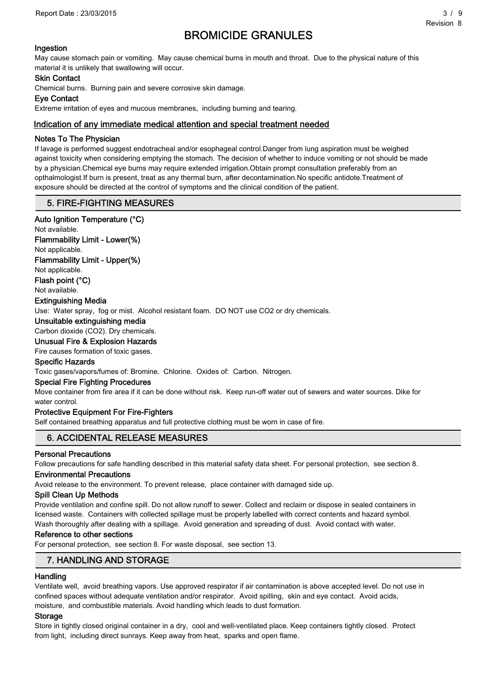### Ingestion

May cause stomach pain or vomiting. May cause chemical burns in mouth and throat. Due to the physical nature of this material it is unlikely that swallowing will occur.

#### Skin Contact

Chemical burns. Burning pain and severe corrosive skin damage.

#### Eye Contact

Extreme irritation of eyes and mucous membranes, including burning and tearing.

### Indication of any immediate medical attention and special treatment needed

#### Notes To The Physician

If lavage is performed suggest endotracheal and/or esophageal control.Danger from lung aspiration must be weighed against toxicity when considering emptying the stomach. The decision of whether to induce vomiting or not should be made by a physician.Chemical eye burns may require extended irrigation.Obtain prompt consultation preferably from an opthalmologist.If burn is present, treat as any thermal burn, after decontamination.No specific antidote.Treatment of exposure should be directed at the control of symptoms and the clinical condition of the patient.

### 5. FIRE-FIGHTING MEASURES

#### Auto Ignition Temperature (°C)

Not available.

Flammability Limit - Lower(%)

Not applicable.

Flammability Limit - Upper(%)

Not applicable.

Flash point (°C)

Not available.

Extinguishing Media

Use: Water spray, fog or mist. Alcohol resistant foam. DO NOT use CO2 or dry chemicals.

### Unsuitable extinguishing media

Carbon dioxide (CO2). Dry chemicals.

Unusual Fire & Explosion Hazards

Fire causes formation of toxic gases.

#### Specific Hazards

Toxic gases/vapors/fumes of: Bromine. Chlorine. Oxides of: Carbon. Nitrogen.

#### Special Fire Fighting Procedures

Move container from fire area if it can be done without risk. Keep run-off water out of sewers and water sources. Dike for water control.

#### Protective Equipment For Fire-Fighters

Self contained breathing apparatus and full protective clothing must be worn in case of fire.

### 6. ACCIDENTAL RELEASE MEASURES

#### Personal Precautions

Follow precautions for safe handling described in this material safety data sheet. For personal protection, see section 8.

#### Environmental Precautions

Avoid release to the environment. To prevent release, place container with damaged side up.

#### Spill Clean Up Methods

Provide ventilation and confine spill. Do not allow runoff to sewer. Collect and reclaim or dispose in sealed containers in licensed waste. Containers with collected spillage must be properly labelled with correct contents and hazard symbol. Wash thoroughly after dealing with a spillage. Avoid generation and spreading of dust. Avoid contact with water.

#### Reference to other sections

For personal protection, see section 8. For waste disposal, see section 13.

### 7. HANDLING AND STORAGE

#### **Handling**

Ventilate well, avoid breathing vapors. Use approved respirator if air contamination is above accepted level. Do not use in confined spaces without adequate ventilation and/or respirator. Avoid spilling, skin and eye contact. Avoid acids, moisture, and combustible materials. Avoid handling which leads to dust formation.

#### Storage

Store in tightly closed original container in a dry, cool and well-ventilated place. Keep containers tightly closed. Protect from light, including direct sunrays. Keep away from heat, sparks and open flame.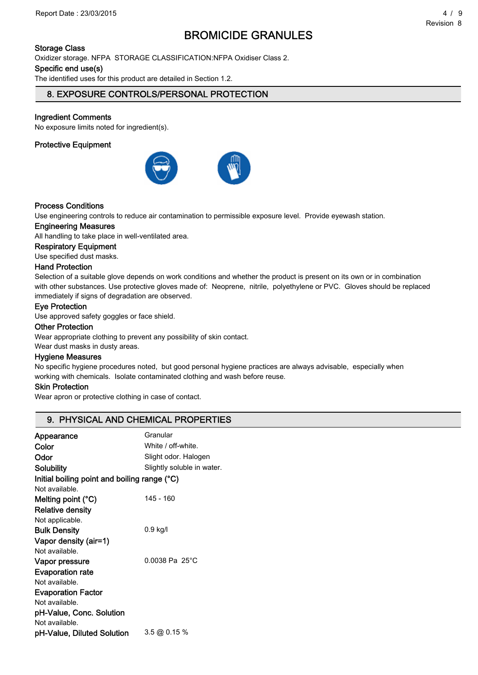### Storage Class

Oxidizer storage. NFPA STORAGE CLASSIFICATION:NFPA Oxidiser Class 2.

#### Specific end use(s)

The identified uses for this product are detailed in Section 1.2.

### 8. EXPOSURE CONTROLS/PERSONAL PROTECTION

### Ingredient Comments

No exposure limits noted for ingredient(s).

### Protective Equipment



### Process Conditions

Use engineering controls to reduce air contamination to permissible exposure level. Provide eyewash station.

### Engineering Measures

All handling to take place in well-ventilated area.

#### Respiratory Equipment

Use specified dust masks.

#### Hand Protection

Selection of a suitable glove depends on work conditions and whether the product is present on its own or in combination with other substances. Use protective gloves made of: Neoprene, nitrile, polyethylene or PVC. Gloves should be replaced immediately if signs of degradation are observed.

#### Eye Protection

Use approved safety goggles or face shield.

#### Other Protection

Wear appropriate clothing to prevent any possibility of skin contact.

Wear dust masks in dusty areas.

#### Hygiene Measures

No specific hygiene procedures noted, but good personal hygiene practices are always advisable, especially when working with chemicals. Isolate contaminated clothing and wash before reuse.

#### Skin Protection

Wear apron or protective clothing in case of contact.

### 9. PHYSICAL AND CHEMICAL PROPERTIES

| Appearance                                   | Granular                   |  |
|----------------------------------------------|----------------------------|--|
| Color                                        | White / off-white.         |  |
| Odor                                         | Slight odor. Halogen       |  |
| Solubility                                   | Slightly soluble in water. |  |
| Initial boiling point and boiling range (°C) |                            |  |
| Not available.                               |                            |  |
| Melting point $(^{\circ}C)$                  | 145 - 160                  |  |
| <b>Relative density</b>                      |                            |  |
| Not applicable.                              |                            |  |
| <b>Bulk Density</b>                          | 0.9 kg/l                   |  |
| Vapor density (air=1)                        |                            |  |
| Not available.                               |                            |  |
| Vapor pressure                               | $0.0038$ Pa $25^{\circ}$ C |  |
| <b>Evaporation rate</b>                      |                            |  |
| Not available.                               |                            |  |
| <b>Evaporation Factor</b>                    |                            |  |
| Not available.                               |                            |  |
| pH-Value, Conc. Solution                     |                            |  |
| Not available.                               |                            |  |
| pH-Value, Diluted Solution                   | 3.5 @ 0.15 %               |  |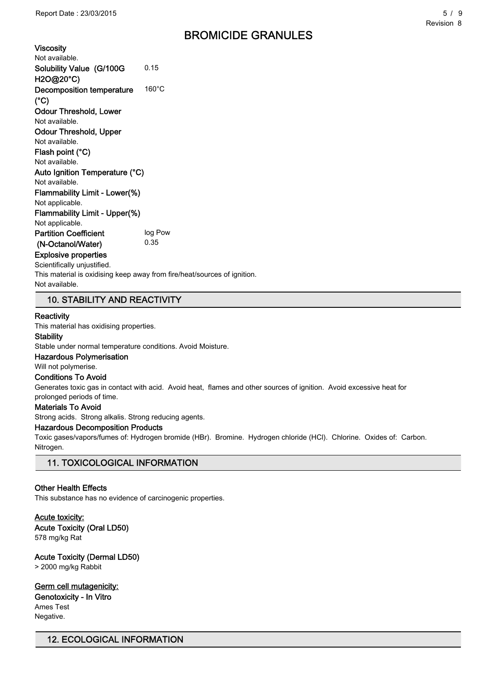Viscosity Not available. Solubility Value (G/100G H2O@20°C) 0.15 Decomposition temperature  $(^{\circ}C)$ 160°C Odour Threshold, Lower Not available. Odour Threshold, Upper Not available. Flash point (°C) Not available. Auto Ignition Temperature (°C) Not available. Flammability Limit - Lower(%) Not applicable. Flammability Limit - Upper(%) Not applicable. Partition Coefficient (N-Octanol/Water) log Pow 0.35 Explosive properties Scientifically uniustified.

This material is oxidising keep away from fire/heat/sources of ignition. Not available.

### 10. STABILITY AND REACTIVITY

#### **Reactivity**

This material has oxidising properties.

#### **Stability**

Stable under normal temperature conditions. Avoid Moisture.

#### Hazardous Polymerisation

Will not polymerise.

#### Conditions To Avoid

Generates toxic gas in contact with acid. Avoid heat, flames and other sources of ignition. Avoid excessive heat for prolonged periods of time.

#### Materials To Avoid

Strong acids. Strong alkalis. Strong reducing agents.

#### Hazardous Decomposition Products

Toxic gases/vapors/fumes of: Hydrogen bromide (HBr). Bromine. Hydrogen chloride (HCl). Chlorine. Oxides of: Carbon. Nitrogen.

### 11. TOXICOLOGICAL INFORMATION

#### Other Health Effects

This substance has no evidence of carcinogenic properties.

### Acute toxicity: Acute Toxicity (Oral LD50)

578 mg/kg Rat

#### Acute Toxicity (Dermal LD50)

> 2000 mg/kg Rabbit

Germ cell mutagenicity: Genotoxicity - In Vitro Ames Test Negative.

### 12. ECOLOGICAL INFORMATION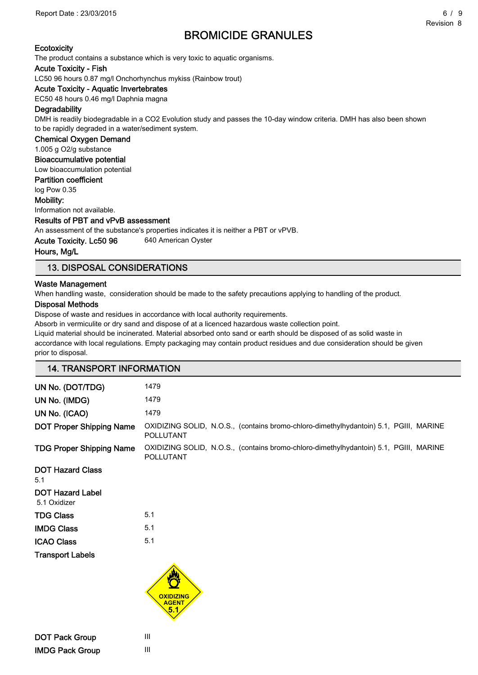Report Date : 23/03/2015 6 / 9

# BROMICIDE GRANULES

The product contains a substance which is very toxic to aquatic organisms.

#### Acute Toxicity - Fish

LC50 96 hours 0.87 mg/l Onchorhynchus mykiss (Rainbow trout)

### Acute Toxicity - Aquatic Invertebrates

EC50 48 hours 0.46 mg/l Daphnia magna

#### **Degradability**

DMH is readily biodegradable in a CO2 Evolution study and passes the 10-day window criteria. DMH has also been shown to be rapidly degraded in a water/sediment system.

Chemical Oxygen Demand

1.005 g O2/g substance

### Bioaccumulative potential

Low bioaccumulation potential

### Partition coefficient

log Pow 0.35

#### Mobility:

Information not available.

#### Results of PBT and vPvB assessment

An assessment of the substance's properties indicates it is neither a PBT or vPVB.

Acute Toxicity. Lc50 96 640 American Oyster

#### Hours, Mg/L

### 13. DISPOSAL CONSIDERATIONS

#### Waste Management

When handling waste, consideration should be made to the safety precautions applying to handling of the product.

#### Disposal Methods

Dispose of waste and residues in accordance with local authority requirements.

Absorb in vermiculite or dry sand and dispose of at a licenced hazardous waste collection point.

Liquid material should be incinerated. Material absorbed onto sand or earth should be disposed of as solid waste in accordance with local regulations. Empty packaging may contain product residues and due consideration should be given prior to disposal.

| <b>14. TRANSPORT INFORMATION</b>        |                                                                                                           |  |
|-----------------------------------------|-----------------------------------------------------------------------------------------------------------|--|
| UN No. (DOT/TDG)                        | 1479                                                                                                      |  |
| UN No. (IMDG)                           | 1479                                                                                                      |  |
| UN No. (ICAO)                           | 1479                                                                                                      |  |
| <b>DOT Proper Shipping Name</b>         | OXIDIZING SOLID, N.O.S., (contains bromo-chloro-dimethylhydantoin) 5.1, PGIII, MARINE<br><b>POLLUTANT</b> |  |
| <b>TDG Proper Shipping Name</b>         | OXIDIZING SOLID, N.O.S., (contains bromo-chloro-dimethylhydantoin) 5.1, PGIII, MARINE<br>POLLUTANT        |  |
| <b>DOT Hazard Class</b><br>5.1          |                                                                                                           |  |
| <b>DOT Hazard Label</b><br>5.1 Oxidizer |                                                                                                           |  |
| <b>TDG Class</b>                        | 5.1                                                                                                       |  |
| <b>IMDG Class</b>                       | 5.1                                                                                                       |  |
| <b>ICAO Class</b>                       | 5.1                                                                                                       |  |
| <b>Transport Labels</b>                 |                                                                                                           |  |
|                                         | <b>OXIDIZING</b><br><b>AGENT</b><br>5.1                                                                   |  |

DOT Pack Group III IMDG Pack Group III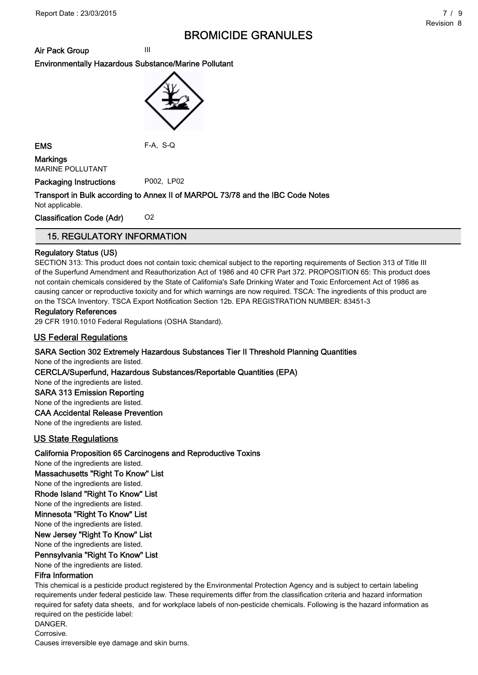Air Pack Group III

### Environmentally Hazardous Substance/Marine Pollutant



EMS F-A, S-Q

**Markings** MARINE POLLUTANT

Packaging Instructions P002, LP02

## Transport in Bulk according to Annex II of MARPOL 73/78 and the IBC Code Notes

Not applicable.

Classification Code (Adr) 02

### 15. REGULATORY INFORMATION

### Regulatory Status (US)

SECTION 313: This product does not contain toxic chemical subject to the reporting requirements of Section 313 of Title III of the Superfund Amendment and Reauthorization Act of 1986 and 40 CFR Part 372. PROPOSITION 65: This product does not contain chemicals considered by the State of California's Safe Drinking Water and Toxic Enforcement Act of 1986 as causing cancer or reproductive toxicity and for which warnings are now required. TSCA: The ingredients of this product are on the TSCA Inventory. TSCA Export Notification Section 12b. EPA REGISTRATION NUMBER: 83451-3

### Regulatory References

29 CFR 1910.1010 Federal Regulations (OSHA Standard).

### US Federal Regulations

### SARA Section 302 Extremely Hazardous Substances Tier II Threshold Planning Quantities

None of the ingredients are listed.

### CERCLA/Superfund, Hazardous Substances/Reportable Quantities (EPA)

None of the ingredients are listed.

SARA 313 Emission Reporting

None of the ingredients are listed.

#### CAA Accidental Release Prevention

None of the ingredients are listed.

### US State Regulations

### California Proposition 65 Carcinogens and Reproductive Toxins

None of the ingredients are listed.

Massachusetts "Right To Know" List

None of the ingredients are listed.

### Rhode Island "Right To Know" List

None of the ingredients are listed.

Minnesota "Right To Know" List

None of the ingredients are listed.

New Jersey "Right To Know" List

## None of the ingredients are listed.

Pennsylvania "Right To Know" List

None of the ingredients are listed.

### Fifra Information

This chemical is a pesticide product registered by the Environmental Protection Agency and is subject to certain labeling requirements under federal pesticide law. These requirements differ from the classification criteria and hazard information required for safety data sheets, and for workplace labels of non-pesticide chemicals. Following is the hazard information as required on the pesticide label:

DANGER.

Corrosive.

Causes irreversible eye damage and skin burns.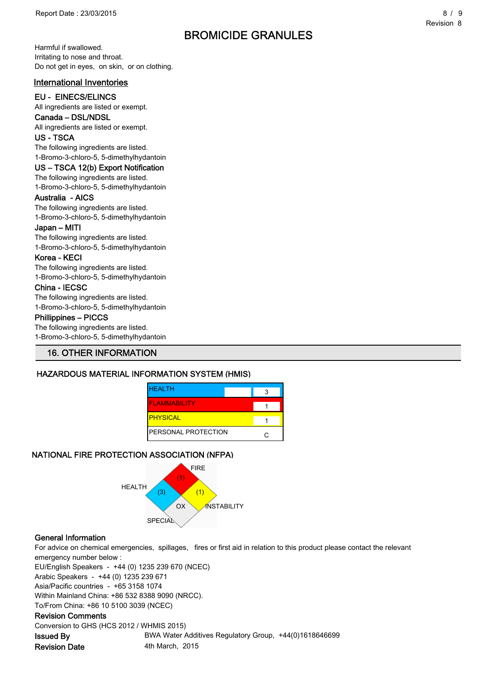Harmful if swallowed. Irritating to nose and throat. Do not get in eyes, on skin, or on clothing.

### International Inventories

### EU - EINECS/ELINCS

All ingredients are listed or exempt.

### Canada – DSL/NDSL

All ingredients are listed or exempt. US - TSCA

The following ingredients are listed. 1-Bromo-3-chloro-5, 5-dimethylhydantoin

## US – TSCA 12(b) Export Notification

## The following ingredients are listed.

1-Bromo-3-chloro-5, 5-dimethylhydantoin

### Australia - AICS

The following ingredients are listed. 1-Bromo-3-chloro-5, 5-dimethylhydantoin

#### Japan – MITI

The following ingredients are listed. 1-Bromo-3-chloro-5, 5-dimethylhydantoin

### Korea - KECI

The following ingredients are listed. 1-Bromo-3-chloro-5, 5-dimethylhydantoin

### China - IECSC

The following ingredients are listed. 1-Bromo-3-chloro-5, 5-dimethylhydantoin

#### Phillippines – PICCS

The following ingredients are listed. 1-Bromo-3-chloro-5, 5-dimethylhydantoin

### 16. OTHER INFORMATION

### HAZARDOUS MATERIAL INFORMATION SYSTEM (HMIS)

| <b>HEALTH</b>               |  |
|-----------------------------|--|
| <b>FLAMMABILITY</b>         |  |
| <b>PHYSICAL</b>             |  |
| <b>IPERSONAL PROTECTION</b> |  |

### NATIONAL FIRE PROTECTION ASSOCIATION (NFPA)



### General Information

For advice on chemical emergencies, spillages, fires or first aid in relation to this product please contact the relevant emergency number below :

EU/English Speakers - +44 (0) 1235 239 670 (NCEC)

Arabic Speakers - +44 (0) 1235 239 671

Asia/Pacific countries - +65 3158 1074

Within Mainland China: +86 532 8388 9090 (NRCC).

To/From China: +86 10 5100 3039 (NCEC)

#### Revision Comments

Conversion to GHS (HCS 2012 / WHMIS 2015)

**Issued By State BRWA Water Additives Regulatory Group, +44(0)1618646699** Revision Date 4th March, 2015